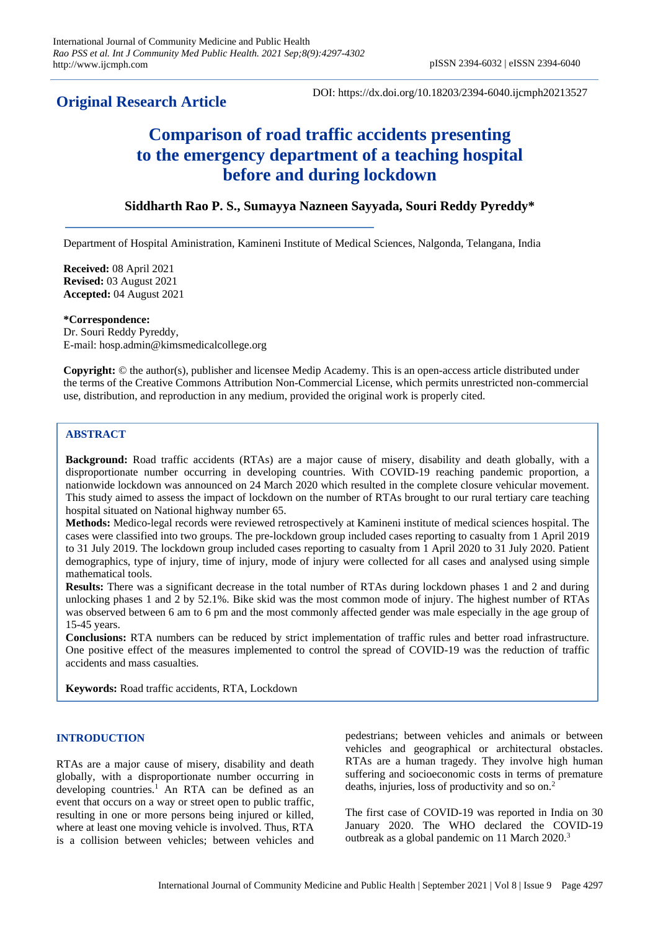# **Original Research Article**

DOI: https://dx.doi.org/10.18203/2394-6040.ijcmph20213527

# **Comparison of road traffic accidents presenting to the emergency department of a teaching hospital before and during lockdown**

# **Siddharth Rao P. S., Sumayya Nazneen Sayyada, Souri Reddy Pyreddy\***

Department of Hospital Aministration, Kamineni Institute of Medical Sciences, Nalgonda, Telangana, India

**Received:** 08 April 2021 **Revised:** 03 August 2021 **Accepted:** 04 August 2021

**\*Correspondence:** Dr. Souri Reddy Pyreddy, E-mail: hosp.admin@kimsmedicalcollege.org

**Copyright:** © the author(s), publisher and licensee Medip Academy. This is an open-access article distributed under the terms of the Creative Commons Attribution Non-Commercial License, which permits unrestricted non-commercial use, distribution, and reproduction in any medium, provided the original work is properly cited.

## **ABSTRACT**

**Background:** Road traffic accidents (RTAs) are a major cause of misery, disability and death globally, with a disproportionate number occurring in developing countries. With COVID-19 reaching pandemic proportion, a nationwide lockdown was announced on 24 March 2020 which resulted in the complete closure vehicular movement. This study aimed to assess the impact of lockdown on the number of RTAs brought to our rural tertiary care teaching hospital situated on National highway number 65.

**Methods:** Medico-legal records were reviewed retrospectively at Kamineni institute of medical sciences hospital. The cases were classified into two groups. The pre-lockdown group included cases reporting to casualty from 1 April 2019 to 31 July 2019. The lockdown group included cases reporting to casualty from 1 April 2020 to 31 July 2020. Patient demographics, type of injury, time of injury, mode of injury were collected for all cases and analysed using simple mathematical tools.

**Results:** There was a significant decrease in the total number of RTAs during lockdown phases 1 and 2 and during unlocking phases 1 and 2 by 52.1%. Bike skid was the most common mode of injury. The highest number of RTAs was observed between 6 am to 6 pm and the most commonly affected gender was male especially in the age group of 15-45 years.

**Conclusions:** RTA numbers can be reduced by strict implementation of traffic rules and better road infrastructure. One positive effect of the measures implemented to control the spread of COVID-19 was the reduction of traffic accidents and mass casualties.

**Keywords:** Road traffic accidents, RTA, Lockdown

## **INTRODUCTION**

RTAs are a major cause of misery, disability and death globally, with a disproportionate number occurring in developing countries.<sup>1</sup> An RTA can be defined as an event that occurs on a way or street open to public traffic, resulting in one or more persons being injured or killed, where at least one moving vehicle is involved. Thus, RTA is a collision between vehicles; between vehicles and pedestrians; between vehicles and animals or between vehicles and geographical or architectural obstacles. RTAs are a human tragedy. They involve high human suffering and socioeconomic costs in terms of premature deaths, injuries, loss of productivity and so on.<sup>2</sup>

The first case of COVID-19 was reported in India on 30 January 2020. The WHO declared the COVID-19 outbreak as a global pandemic on 11 March 2020.<sup>3</sup>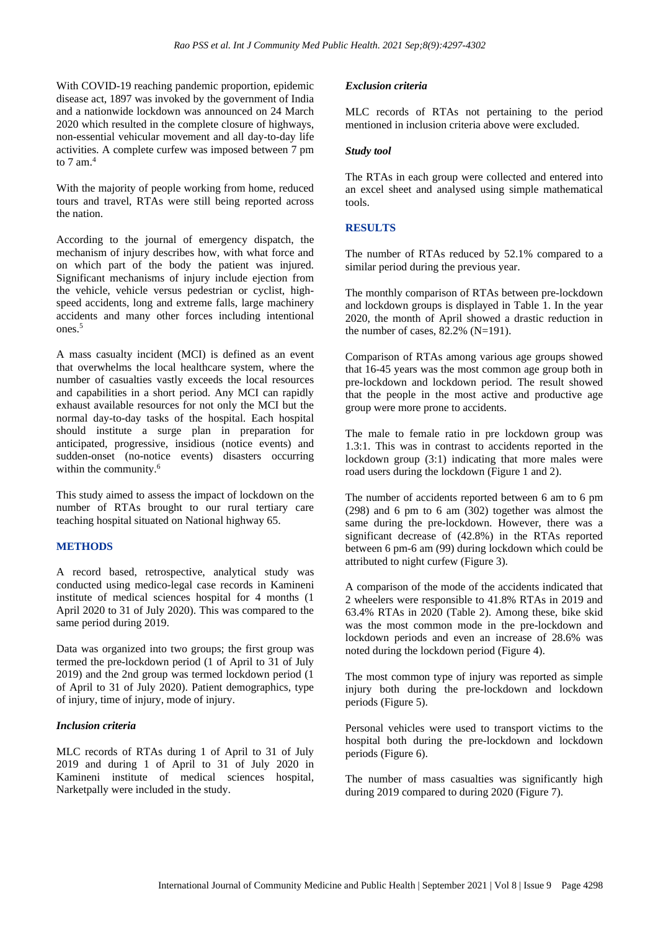With COVID-19 reaching pandemic proportion, epidemic disease act, 1897 was invoked by the government of India and a nationwide lockdown was announced on 24 March 2020 which resulted in the complete closure of highways, non-essential vehicular movement and all day-to-day life activities. A complete curfew was imposed between 7 pm to  $7 \text{ am.}^4$ 

With the majority of people working from home, reduced tours and travel, RTAs were still being reported across the nation.

According to the journal of emergency dispatch, the mechanism of injury describes how, with what force and on which part of the body the patient was injured. Significant mechanisms of injury include ejection from the vehicle, vehicle versus pedestrian or cyclist, highspeed accidents, long and extreme falls, large machinery accidents and many other forces including intentional ones.<sup>5</sup>

A mass casualty incident (MCI) is defined as an event that overwhelms the local healthcare system, where the number of casualties vastly exceeds the local resources and capabilities in a short period. Any MCI can rapidly exhaust available resources for not only the MCI but the normal day-to-day tasks of the hospital. Each hospital should institute a surge plan in preparation for anticipated, progressive, insidious (notice events) and sudden-onset (no-notice events) disasters occurring within the community.<sup>6</sup>

This study aimed to assess the impact of lockdown on the number of RTAs brought to our rural tertiary care teaching hospital situated on National highway 65.

#### **METHODS**

A record based, retrospective, analytical study was conducted using medico-legal case records in Kamineni institute of medical sciences hospital for 4 months (1 April 2020 to 31 of July 2020). This was compared to the same period during 2019.

Data was organized into two groups; the first group was termed the pre-lockdown period (1 of April to 31 of July 2019) and the 2nd group was termed lockdown period (1 of April to 31 of July 2020). Patient demographics, type of injury, time of injury, mode of injury.

#### *Inclusion criteria*

MLC records of RTAs during 1 of April to 31 of July 2019 and during 1 of April to 31 of July 2020 in Kamineni institute of medical sciences hospital, Narketpally were included in the study.

#### *Exclusion criteria*

MLC records of RTAs not pertaining to the period mentioned in inclusion criteria above were excluded.

#### *Study tool*

The RTAs in each group were collected and entered into an excel sheet and analysed using simple mathematical tools.

## **RESULTS**

The number of RTAs reduced by 52.1% compared to a similar period during the previous year.

The monthly comparison of RTAs between pre-lockdown and lockdown groups is displayed in Table 1. In the year 2020, the month of April showed a drastic reduction in the number of cases, 82.2% (N=191).

Comparison of RTAs among various age groups showed that 16-45 years was the most common age group both in pre-lockdown and lockdown period. The result showed that the people in the most active and productive age group were more prone to accidents.

The male to female ratio in pre lockdown group was 1.3:1. This was in contrast to accidents reported in the lockdown group (3:1) indicating that more males were road users during the lockdown (Figure 1 and 2).

The number of accidents reported between 6 am to 6 pm (298) and 6 pm to 6 am (302) together was almost the same during the pre-lockdown. However, there was a significant decrease of (42.8%) in the RTAs reported between 6 pm-6 am (99) during lockdown which could be attributed to night curfew (Figure 3).

A comparison of the mode of the accidents indicated that 2 wheelers were responsible to 41.8% RTAs in 2019 and 63.4% RTAs in 2020 (Table 2). Among these, bike skid was the most common mode in the pre-lockdown and lockdown periods and even an increase of 28.6% was noted during the lockdown period (Figure 4).

The most common type of injury was reported as simple injury both during the pre-lockdown and lockdown periods (Figure 5).

Personal vehicles were used to transport victims to the hospital both during the pre-lockdown and lockdown periods (Figure 6).

The number of mass casualties was significantly high during 2019 compared to during 2020 (Figure 7).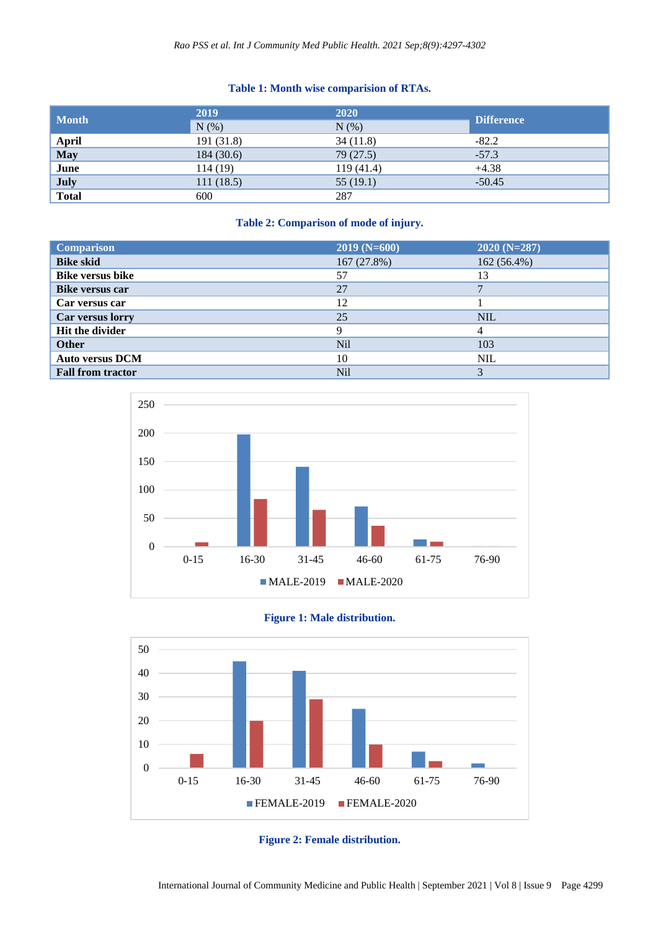# **Table 1: Month wise comparision of RTAs.**

| <b>Month</b>                              | 2019       | 2020       | <b>Difference</b> |
|-------------------------------------------|------------|------------|-------------------|
|                                           | N(% )      | $N$ $(\%)$ |                   |
|                                           | 191 (31.8) | 34(11.8)   | $-82.2$           |
| <b>April</b><br><b>May</b><br><b>June</b> | 184 (30.6) | 79(27.5)   | $-57.3$           |
|                                           | 114(19)    | 119(41.4)  | $+4.38$           |
| July<br>Total                             | 111(18.5)  | 55(19.1)   | $-50.45$          |
|                                           | 600        | 287        |                   |

## **Table 2: Comparison of mode of injury.**

| <b>Comparison</b>        | $2019(N=600)$   | $2020(N=287)$ |
|--------------------------|-----------------|---------------|
| <b>Bike skid</b>         | 167(27.8%)      | 162 (56.4%)   |
| <b>Bike versus bike</b>  | 57              | 13            |
| <b>Bike versus car</b>   | 27              |               |
| Car versus car           | 12              |               |
| Car versus lorry         | 25              | <b>NIL</b>    |
| Hit the divider          | Q               |               |
| <b>Other</b>             | N <sub>il</sub> | 103           |
| <b>Auto versus DCM</b>   | 10              | <b>NIL</b>    |
| <b>Fall from tractor</b> | Nil             | 3             |







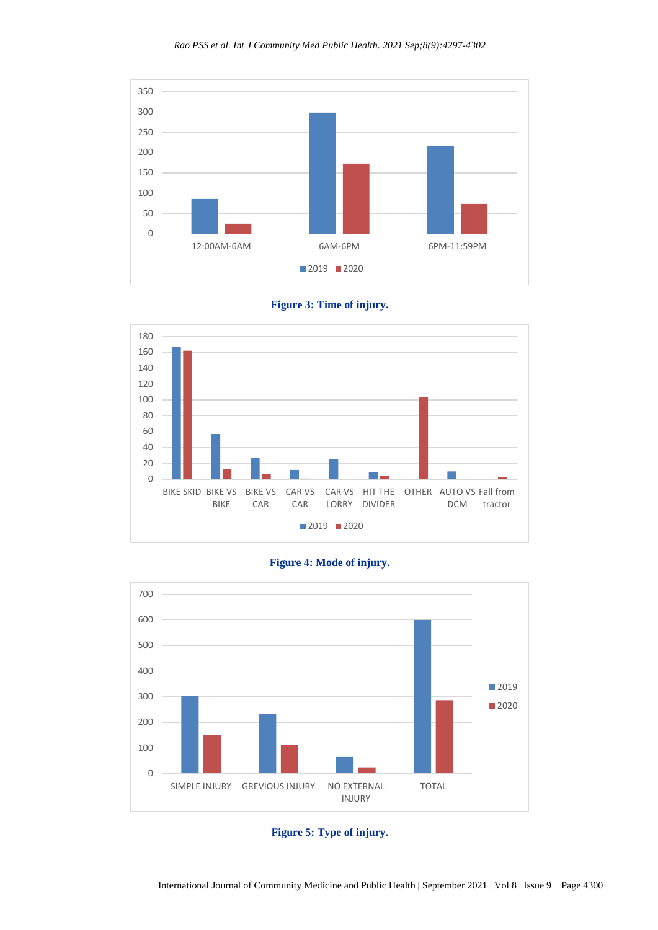





# **Figure 4: Mode of injury.**



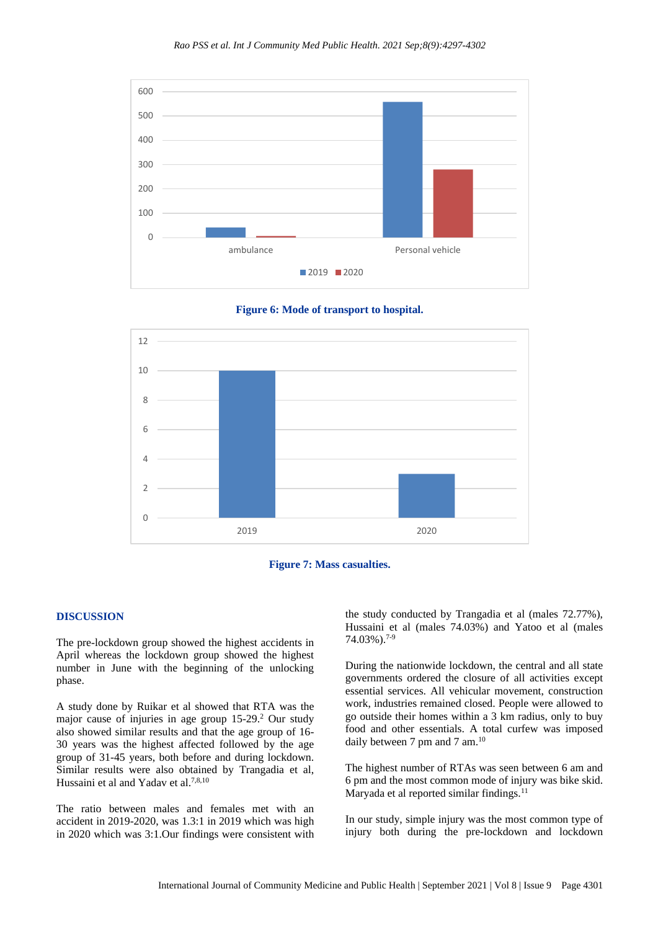







#### **DISCUSSION**

The pre-lockdown group showed the highest accidents in April whereas the lockdown group showed the highest number in June with the beginning of the unlocking phase.

A study done by Ruikar et al showed that RTA was the major cause of injuries in age group  $15-29$ .<sup>2</sup> Our study also showed similar results and that the age group of 16- 30 years was the highest affected followed by the age group of 31-45 years, both before and during lockdown. Similar results were also obtained by Trangadia et al, Hussaini et al and Yadav et al.7,8,10

The ratio between males and females met with an accident in 2019-2020, was 1.3:1 in 2019 which was high in 2020 which was 3:1.Our findings were consistent with the study conducted by Trangadia et al (males 72.77%), Hussaini et al (males 74.03%) and Yatoo et al (males 74.03%). 7-9

During the nationwide lockdown, the central and all state governments ordered the closure of all activities except essential services. All vehicular movement, construction work, industries remained closed. People were allowed to go outside their homes within a 3 km radius, only to buy food and other essentials. A total curfew was imposed daily between 7 pm and 7 am.<sup>10</sup>

The highest number of RTAs was seen between 6 am and 6 pm and the most common mode of injury was bike skid. Maryada et al reported similar findings. $11$ 

In our study, simple injury was the most common type of injury both during the pre-lockdown and lockdown